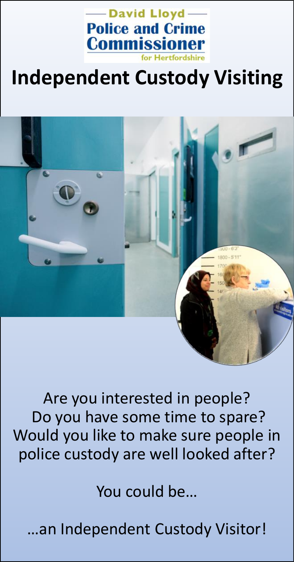

# **Independent Custody Visiting**



Are you interested in people? Do you have some time to spare? Would you like to make sure people in police custody are well looked after?

You could be…

…an Independent Custody Visitor!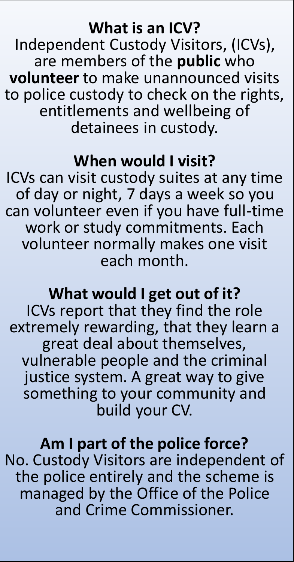#### **What is an ICV?**

Independent Custody Visitors, (ICVs), are members of the **public** who **volunteer** to make unannounced visits to police custody to check on the rights, entitlements and wellbeing of detainees in custody.

#### **When would I visit?**

ICVs can visit custody suites at any time of day or night, 7 days a week so you can volunteer even if you have full-time work or study commitments. Each volunteer normally makes one visit each month.

## **What would I get out of it?**

ICVs report that they find the role extremely rewarding, that they learn a great deal about themselves, vulnerable people and the criminal justice system. A great way to give something to your community and build your CV.

## **Am I part of the police force?**

No. Custody Visitors are independent of the police entirely and the scheme is managed by the Office of the Police and Crime Commissioner.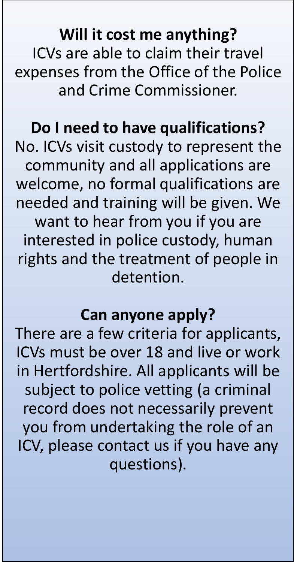**Will it cost me anything?** ICVs are able to claim their travel expenses from the Office of the Police and Crime Commissioner.

## **Do I need to have qualifications?**

No. ICVs visit custody to represent the community and all applications are welcome, no formal qualifications are needed and training will be given. We want to hear from you if you are interested in police custody, human rights and the treatment of people in detention.

## **Can anyone apply?**

There are a few criteria for applicants, ICVs must be over 18 and live or work in Hertfordshire. All applicants will be subject to police vetting (a criminal record does not necessarily prevent you from undertaking the role of an ICV, please contact us if you have any questions).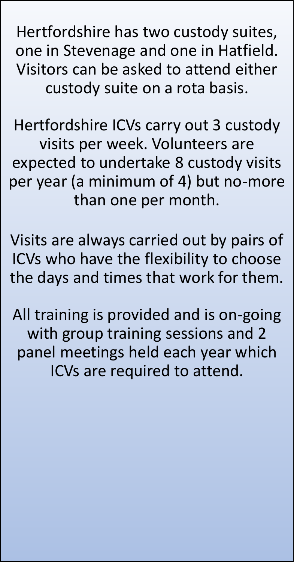Hertfordshire has two custody suites, one in Stevenage and one in Hatfield. Visitors can be asked to attend either custody suite on a rota basis.

Hertfordshire ICVs carry out 3 custody visits per week. Volunteers are expected to undertake 8 custody visits per year (a minimum of 4) but no-more than one per month.

Visits are always carried out by pairs of ICVs who have the flexibility to choose the days and times that work for them.

All training is provided and is on-going with group training sessions and 2 panel meetings held each year which ICVs are required to attend.